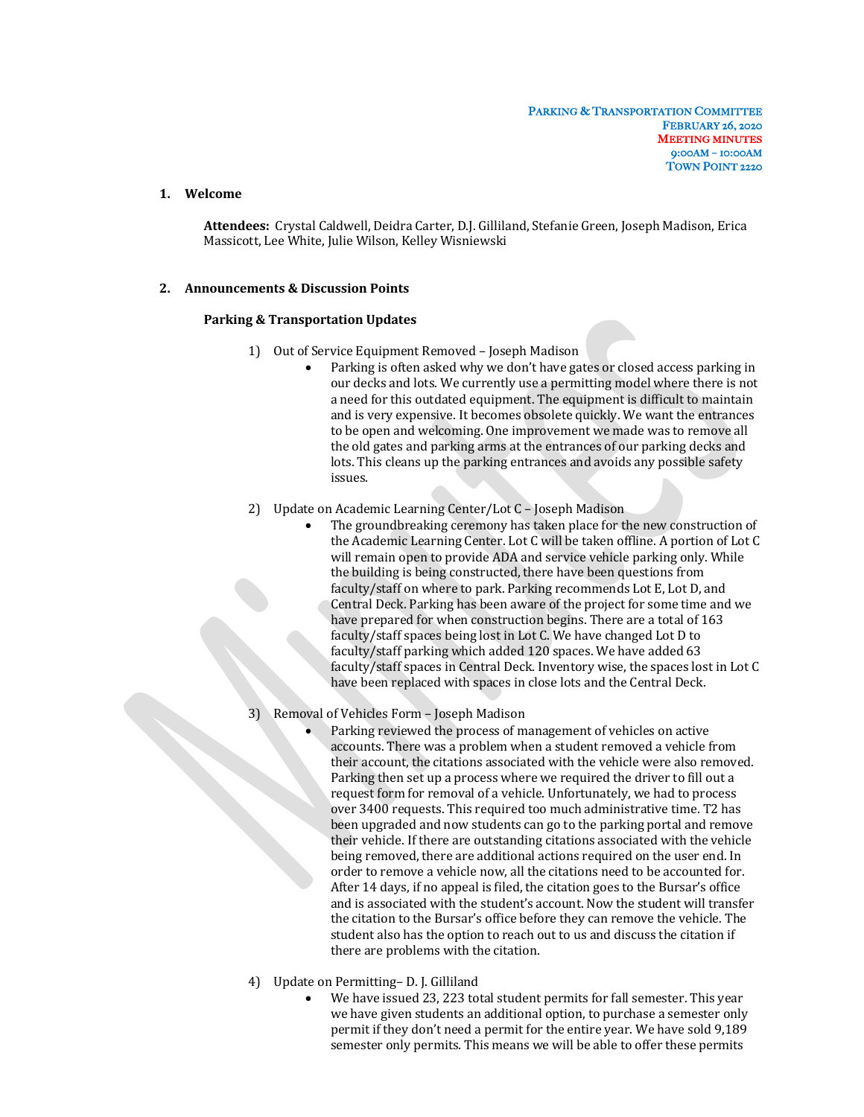## **1. Welcome**

Attendees: Crystal Caldwell, Deidra Carter, D.J. Gilliland, Stefanie Green, Joseph Madison, Erica Massicott, Lee White, Julie Wilson, Kelley Wisniewski

#### **2. Announcements & Discussion Points**

#### **Parking & Transportation Updates**

- 1) Out of Service Equipment Removed Joseph Madison
	- Parking is often asked why we don't have gates or closed access parking in our decks and lots. We currently use a permitting model where there is not a need for this outdated equipment. The equipment is difficult to maintain and is very expensive. It becomes obsolete quickly. We want the entrances to be open and welcoming. One improvement we made was to remove all the old gates and parking arms at the entrances of our parking decks and lots. This cleans up the parking entrances and avoids any possible safety issues.
- 2) Update on Academic Learning Center/Lot C Joseph Madison
	- The groundbreaking ceremony has taken place for the new construction of the Academic Learning Center. Lot C will be taken offline. A portion of Lot C will remain open to provide ADA and service vehicle parking only. While the building is being constructed, there have been questions from faculty/staff on where to park. Parking recommends Lot E, Lot D, and Central Deck. Parking has been aware of the project for some time and we have prepared for when construction begins. There are a total of 163 faculty/staff spaces being lost in Lot C. We have changed Lot D to faculty/staff parking which added 120 spaces. We have added 63 faculty/staff spaces in Central Deck. Inventory wise, the spaces lost in Lot C have been replaced with spaces in close lots and the Central Deck.
- Removal of Vehicles Form Joseph Madison
	- Parking reviewed the process of management of vehicles on active accounts. There was a problem when a student removed a vehicle from their account, the citations associated with the vehicle were also removed. Parking then set up a process where we required the driver to fill out a request form for removal of a vehicle. Unfortunately, we had to process over 3400 requests. This required too much administrative time. T2 has been upgraded and now students can go to the parking portal and remove their vehicle. If there are outstanding citations associated with the vehicle being removed, there are additional actions required on the user end. In order to remove a vehicle now, all the citations need to be accounted for. After 14 days, if no appeal is filed, the citation goes to the Bursar's office and is associated with the student's account. Now the student will transfer the citation to the Bursar's office before they can remove the vehicle. The student also has the option to reach out to us and discuss the citation if there are problems with the citation.
- 4) Update on Permitting– D. J. Gilliland
	- We have issued 23, 223 total student permits for fall semester. This year we have given students an additional option, to purchase a semester only permit if they don't need a permit for the entire year. We have sold 9,189 semester only permits. This means we will be able to offer these permits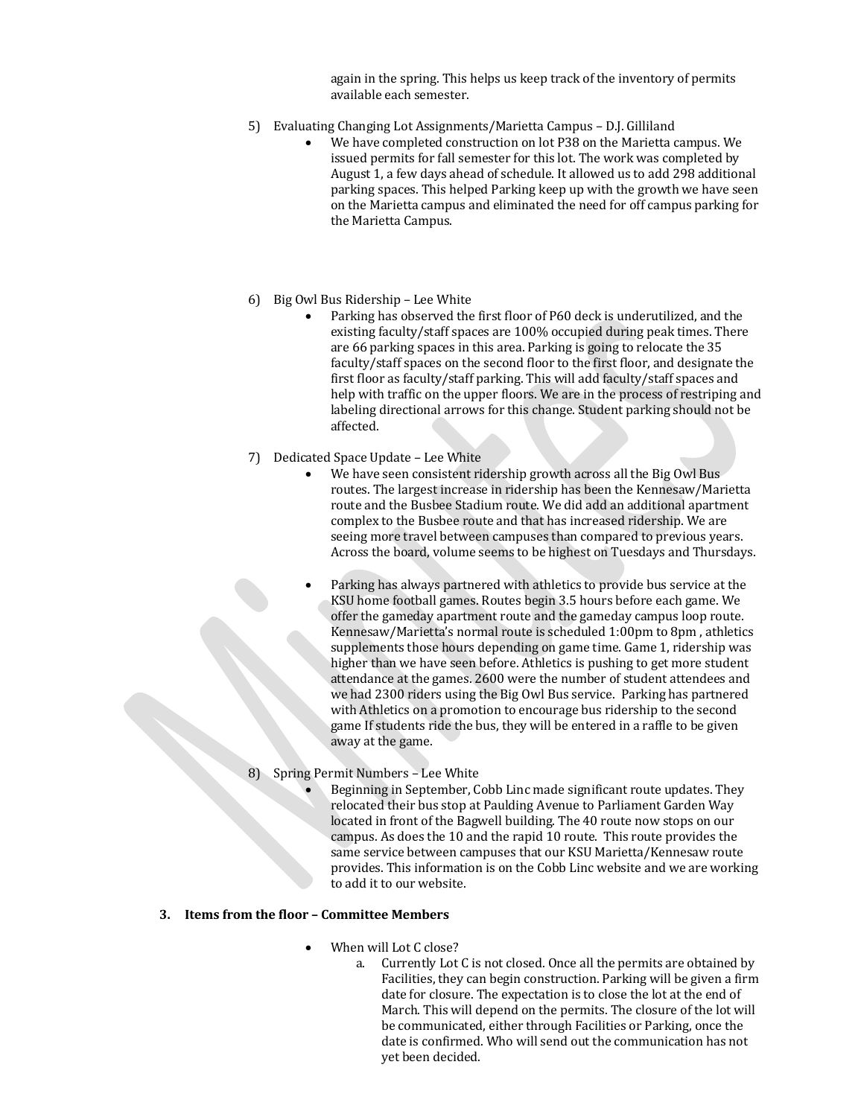again in the spring. This helps us keep track of the inventory of permits available each semester.

- 5) Evaluating Changing Lot Assignments/Marietta Campus D.J. Gilliland
	- We have completed construction on lot P38 on the Marietta campus. We issued permits for fall semester for this lot. The work was completed by August 1, a few days ahead of schedule. It allowed us to add 298 additional parking spaces. This helped Parking keep up with the growth we have seen on the Marietta campus and eliminated the need for off campus parking for the Marietta Campus.
- 6) Big Owl Bus Ridership Lee White
	- Parking has observed the first floor of P60 deck is underutilized, and the existing faculty/staff spaces are 100% occupied during peak times. There are 66 parking spaces in this area. Parking is going to relocate the 35 faculty/staff spaces on the second floor to the first floor, and designate the first floor as faculty/staff parking. This will add faculty/staff spaces and help with traffic on the upper floors. We are in the process of restriping and labeling directional arrows for this change. Student parking should not be affected.
- 7) Dedicated Space Update Lee White
	- We have seen consistent ridership growth across all the Big Owl Bus routes. The largest increase in ridership has been the Kennesaw/Marietta route and the Busbee Stadium route. We did add an additional apartment complex to the Busbee route and that has increased ridership. We are seeing more travel between campuses than compared to previous years. Across the board, volume seems to be highest on Tuesdays and Thursdays.
	- Parking has always partnered with athletics to provide bus service at the KSU home football games. Routes begin 3.5 hours before each game. We offer the gameday apartment route and the gameday campus loop route. Kennesaw/Marietta's normal route is scheduled 1:00pm to 8pm, athletics supplements those hours depending on game time. Game 1, ridership was higher than we have seen before. Athletics is pushing to get more student attendance at the games. 2600 were the number of student attendees and we had 2300 riders using the Big Owl Bus service. Parking has partnered with Athletics on a promotion to encourage bus ridership to the second game If students ride the bus, they will be entered in a raffle to be given away at the game.
- 8) Spring Permit Numbers Lee White
	- Beginning in September, Cobb Linc made significant route updates. They relocated their bus stop at Paulding Avenue to Parliament Garden Way located in front of the Bagwell building. The 40 route now stops on our campus. As does the 10 and the rapid 10 route. This route provides the same service between campuses that our KSU Marietta/Kennesaw route provides. This information is on the Cobb Linc website and we are working to add it to our website.

### **3.** Items from the floor – Committee Members

- When will Lot C close?
	- a. Currently Lot C is not closed. Once all the permits are obtained by Facilities, they can begin construction. Parking will be given a firm date for closure. The expectation is to close the lot at the end of March. This will depend on the permits. The closure of the lot will be communicated, either through Facilities or Parking, once the date is confirmed. Who will send out the communication has not vet been decided.